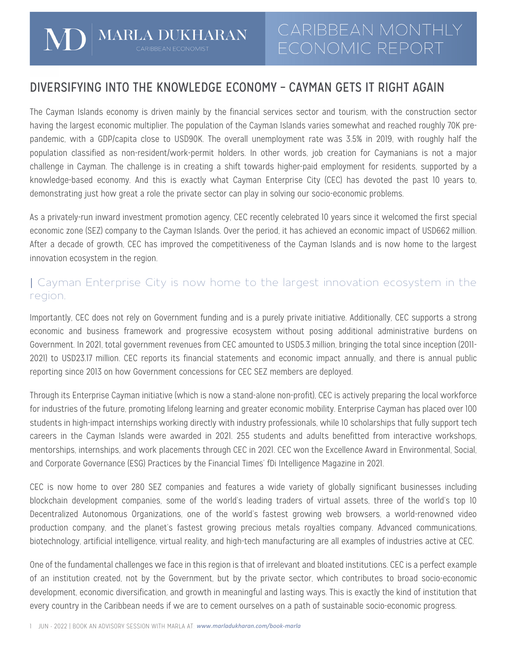# DIVERSIFYING INTO THE KNOWLEDGE ECONOMY – CAYMAN GETS IT RIGHT AGAIN

The Cayman Islands economy is driven mainly by the financial services sector and tourism, with the construction sector having the largest economic multiplier. The population of the Cayman Islands varies somewhat and reached roughly 70K prepandemic, with a GDP/capita close to USD90K. The overall unemployment rate was 3.5% in 2019, with roughly half the population classified as non-resident/work-permit holders. In other words, job creation for Caymanians is not a major challenge in Cayman. The challenge is in creating a shift towards higher-paid employment for residents, supported by a knowledge-based economy. And this is exactly what Cayman Enterprise City (CEC) has devoted the past 10 years to, demonstrating just how great a role the private sector can play in solving our socio-economic problems.

As a privately-run inward investment promotion agency, CEC recently celebrated 10 years since it welcomed the first special economic zone (SEZ) company to the Cayman Islands. Over the period, it has achieved an economic impact of USD662 million. After a decade of growth, CEC has improved the competitiveness of the Cayman Islands and is now home to the largest innovation ecosystem in the region.

## | Cayman Enterprise City is now home to the largest innovation ecosystem in the region.

Importantly, CEC does not rely on Government funding and is a purely private initiative. Additionally, CEC supports a strong economic and business framework and progressive ecosystem without posing additional administrative burdens on Government. In 2021, total government revenues from CEC amounted to USD5.3 million, bringing the total since inception (2011- 2021) to USD23.17 million. CEC reports its financial statements and economic impact annually, and there is annual public reporting since 2013 on how Government concessions for CEC SEZ members are deployed.

Through its Enterprise Cayman initiative (which is now a stand-alone non-profit), CEC is actively preparing the local workforce for industries of the future, promoting lifelong learning and greater economic mobility. Enterprise Cayman has placed over 100 students in high-impact internships working directly with industry professionals, while 10 scholarships that fully support tech careers in the Cayman Islands were awarded in 2021. 255 students and adults benefitted from interactive workshops, mentorships, internships, and work placements through CEC in 2021. CEC won the Excellence Award in Environmental, Social, and Corporate Governance (ESG) Practices by the Financial Times' fDi Intelligence Magazine in 2021.

CEC is now home to over 280 SEZ companies and features a wide variety of globally significant businesses including blockchain development companies, some of the world's leading traders of virtual assets, three of the world's top 10 Decentralized Autonomous Organizations, one of the world's fastest growing web browsers, a world-renowned video production company, and the planet's fastest growing precious metals royalties company. Advanced communications, biotechnology, artificial intelligence, virtual reality, and high-tech manufacturing are all examples of industries active at CEC.

One of the fundamental challenges we face in this region is that of irrelevant and bloated institutions. CEC is a perfect example of an institution created, not by the Government, but by the private sector, which contributes to broad socio-economic development, economic diversification, and growth in meaningful and lasting ways. This is exactly the kind of institution that every country in the Caribbean needs if we are to cement ourselves on a path of sustainable socio-economic progress.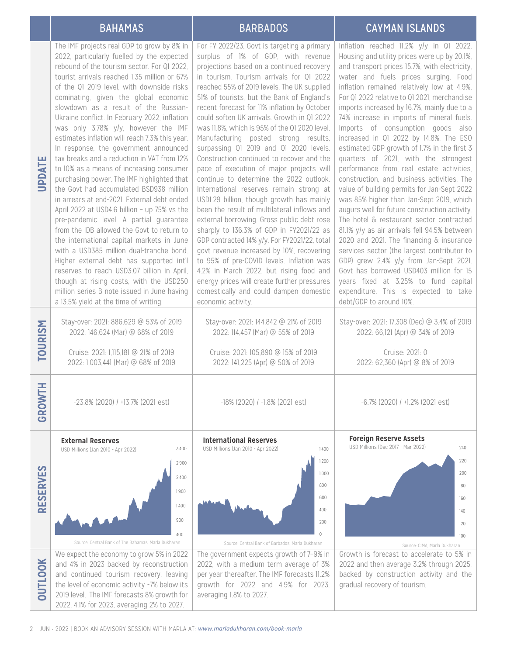## BAHAMAS BARBADOS CAYMAN ISLANDS

## For FY 2022/23, Govt is targeting a primary Inflation reached 11.2% y/y in Q1 2022. The IMF projects real GDP to grow by 8% in<br>2022, particularly fuelled by the expected<br>rebound of the tourism sector. For QI 2022,<br>tourist arrivals reached 1.35 million or 67%<br>of the QI 2019 level, with downside risks<br>domin 2022, particularly fuelled by the expected surplus of 1% of GDP, with revenue Housing and utility prices were up by 20.1%, projections based on a continued recovery rebound of the tourism sector. For Q1 2022, and transport prices 15.7%, with electricity, tourist arrivals reached 1.35 million or 67% in tourism. Tourism arrivals for Q1 2022 water and fuels prices surging. Food of the Q1 2019 level, with downside risks reached 55% of 2019 levels. The UK supplied inflation remained relatively low at 4.9%. dominating, given the global economic 51% of tourists, but the Bank of England's For Q1 2022 relative to Q1 2021, merchandise slowdown as a result of the Russianrecent forecast for 11% inflation by October imports increased by 16.7%, mainly due to a Ukraine conflict. In February 2022, inflation could soften UK arrivals. Growth in Q1 2022 74% increase in imports of mineral fuels. was only 3.78% y/y, however the IMF was 11.8%, which is 95% of the Q1 2020 level. Imports of consumption goods also estimates inflation will reach 7.3% this year. Manufacturing posted strong results, increased in Q1 2022 by 14.8%. The ESO In response, the government announced surpassing Q1 2019 and Q1 2020 levels. estimated GDP growth of 1.7% in the first 3 tax breaks and a reduction in VAT from 12% Construction continued to recover and the quarters of 2021, with the strongest to 10% as a means of increasing consumer pace of execution of major projects will performance from real estate activities, purchasing power. The IMF highlighted that continue to determine the 2022 outlook. construction, and business activities. The the Govt had accumulated BSD938 million International reserves remain strong at value of building permits for Jan-Sept 2022 in arrears at end-2021. External debt ended USD1.29 billion, though growth has mainly was 85% higher than Jan-Sept 2019, which April 2022 at USD4.6 billion – up 75% vs the been the result of multilateral inflows and augurs well for future construction activity. pre-pandemic level. A partial guarantee external borrowing. Gross public debt rose The hotel & restaurant sector contracted from the IDB allowed the Govt to return to sharply to 136.3% of GDP in FY2021/22 as 81.1% y/y as air arrivals fell 94.5% between the international capital markets in June GDP contracted 14% y/y. For FY2021/22, total 2020 and 2021. The financing & insurance with a USD385 million dual-tranche bond. govt revenue increased by 10%, recovering services sector (the largest contributor to Higher external debt has supported int'l to 95% of pre-COVID levels. Inflation was GDP) grew 2.4% y/y from Jan-Sept 2021. Govt has borrowed USD403 million for 15 reserves to reach USD3.07 billion in April, 4.2% in March 2022, but rising food and though at rising costs, with the USD250 energy prices will create further pressures years fixed at 3.25% to fund capital million series B note issued in June having domestically and could dampen domestic expenditure. This is expected to take a 13.5% yield at the time of writing. economic activity. debt/GDP to around 10%. TOURISM Stay-over: 2021: 886,629 @ 53% of 2019 Stay-over: 2021: 144,842 @ 21% of 2019 Stay-over: 2021: 17,308 (Dec) @ 3.4% of 2019 **TOURISM** 2022: 146,624 (Mar) @ 68% of 2019 2022: 114,457 (Mar) @ 55% of 2019 2022: 66,121 (Apr) @ 34% of 2019 Cruise: 2021: 1,115,181 @ 21% of 2019 Cruise: 2021: 105,890 @ 15% of 2019 Cruise: 2021: 0 2022: 1,003,441 (Mar) @ 68% of 2019 2022: 141,225 (Apr) @ 50% of 2019 2022: 62,360 (Apr) @ 8% of 2019 GROWTH **GROWTH** -23.8% (2020) / +13.7% (2021 est) -18% (2020) / -1.8% (2021 est) -6.7% (2020) / +1.2% (2021 est) **Foreign Reserve Assets External Reserves International Reserves**  USD Millions (Dec 2017 - Mar 2022) USD Millions (Jan 2010 - Apr 2022) 3,400 USD Millions (Jan 2010 - Apr 2022) 1,400 240 1,200 220 2,900 RESERVES OUTLOOK **RESERVES** 1,000 200  $2400$ 800 180 1,900 600 160 1,400 400 140 900  $200$ 120  $\bigcap$ 400  $100$ Source: Central Bank of The Bahamas, Marla Dukharan Source: Central Bank of Barbados, Marla Dukharan Source: CIMA, Marla DukharanWe expect the economy to grow 5% in 2022 The government expects growth of 7–9% in Growth is forecast to accelerate to 5% in **NOOTICO** and 4% in 2023 backed by reconstruction 2022, with a medium term average of 3% 2022 and then average 3.2% through 2025, and continued tourism recovery, leaving per year thereafter. The IMF forecasts 11.2% backed by construction activity and the the level of economic activity ~7% below its gradual recovery of tourism. growth for 2022 and 4.9% for 2023, 2019 level. The IMF forecasts 8% growth for averaging 1.8% to 2027. 2022, 4.1% for 2023, averaging 2% to 2027.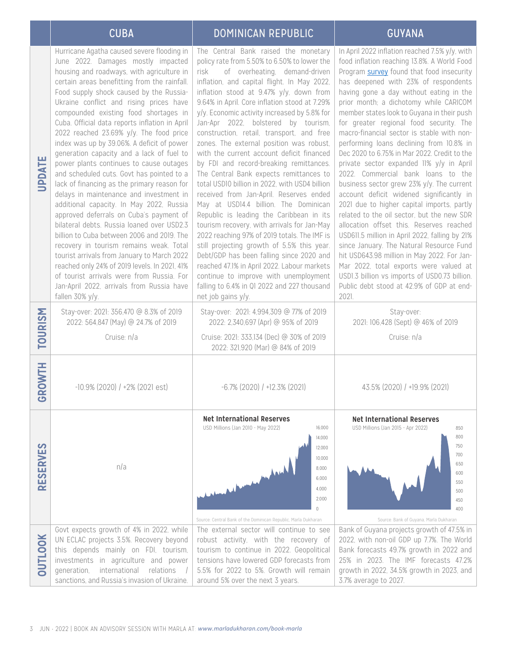# CUBA DOMINICAN REPUBLIC CUBA GUYANA

| <b>UPDATE</b><br><b>TOURISM</b> | index was up by 39.06%. A deficit of power<br>generation capacity and a lack of fuel to<br>power plants continues to cause outages<br>and scheduled cuts. Govt has pointed to a<br>lack of financing as the primary reason for<br>delays in maintenance and investment in<br>additional capacity. In May 2022, Russia<br>approved deferrals on Cuba's payment of<br>bilateral debts. Russia loaned over USD2.3<br>billion to Cuba between 2006 and 2019. The<br>recovery in tourism remains weak. Total<br>tourist arrivals from January to March 2022<br>reached only 24% of 2019 levels. In 2021, 41%<br>of tourist arrivals were from Russia. For<br>Jan-April 2022, arrivals from Russia have<br>fallen 30% y/y.<br>Stay-over: 2021: 356,470 @ 8.3% of 2019<br>2022: 564,847 (May) @ 24.7% of 2019<br>Cruise: n/a | zones. The external position was robust,<br>with the current account deficit financed<br>by FDI and record-breaking remittances.<br>The Central Bank expects remittances to<br>total USD10 billion in 2022, with USD4 billion<br>received from Jan-April. Reserves ended<br>May at USD14.4 billion. The Dominican<br>Republic is leading the Caribbean in its<br>tourism recovery, with arrivals for Jan-May<br>2022 reaching 97% of 2019 totals. The IMF is<br>still projecting growth of 5.5% this year.<br>Debt/GDP has been falling since 2020 and<br>reached 47.1% in April 2022. Labour markets<br>continue to improve with unemployment<br>falling to 6.4% in QI 2022 and 227 thousand<br>net job gains y/y.<br>Stay-over: 2021: 4,994,309 @ 77% of 2019<br>2022: 2,340,697 (Apr) @ 95% of 2019<br>Cruise: 2021: 333,134 (Dec) @ 30% of 2019<br>2022: 321,920 (Mar) @ 84% of 2019 | performing loans declining from 10.8% in<br>Dec 2020 to 6.75% in Mar 2022. Credit to the<br>private sector expanded II% y/y in April<br>2022. Commercial bank loans to the<br>business sector grew 23% y/y. The current<br>account deficit widened significantly in<br>2021 due to higher capital imports, partly<br>related to the oil sector, but the new SDR<br>allocation offset this. Reserves reached<br>USD611.5 million in April 2022, falling by 21%<br>since January. The Natural Resource Fund<br>hit USD643.98 million in May 2022. For Jan-<br>Mar 2022, total exports were valued at<br>USDI.3 billion vs imports of USD0.73 billion.<br>Public debt stood at 42.9% of GDP at end-<br>2021.<br>Stay-over:<br>2021: 106,428 (Sept) @ 46% of 2019<br>Cruise: n/a |
|---------------------------------|-----------------------------------------------------------------------------------------------------------------------------------------------------------------------------------------------------------------------------------------------------------------------------------------------------------------------------------------------------------------------------------------------------------------------------------------------------------------------------------------------------------------------------------------------------------------------------------------------------------------------------------------------------------------------------------------------------------------------------------------------------------------------------------------------------------------------|------------------------------------------------------------------------------------------------------------------------------------------------------------------------------------------------------------------------------------------------------------------------------------------------------------------------------------------------------------------------------------------------------------------------------------------------------------------------------------------------------------------------------------------------------------------------------------------------------------------------------------------------------------------------------------------------------------------------------------------------------------------------------------------------------------------------------------------------------------------------------------------|------------------------------------------------------------------------------------------------------------------------------------------------------------------------------------------------------------------------------------------------------------------------------------------------------------------------------------------------------------------------------------------------------------------------------------------------------------------------------------------------------------------------------------------------------------------------------------------------------------------------------------------------------------------------------------------------------------------------------------------------------------------------------|
| GROWTH                          | $-10.9\%$ (2020) / $+2\%$ (2021 est)                                                                                                                                                                                                                                                                                                                                                                                                                                                                                                                                                                                                                                                                                                                                                                                  | $-6.7\%$ (2020) / $+12.3\%$ (2021)                                                                                                                                                                                                                                                                                                                                                                                                                                                                                                                                                                                                                                                                                                                                                                                                                                                       | 43.5% (2020) / +19.9% (2021)                                                                                                                                                                                                                                                                                                                                                                                                                                                                                                                                                                                                                                                                                                                                                 |
|                                 |                                                                                                                                                                                                                                                                                                                                                                                                                                                                                                                                                                                                                                                                                                                                                                                                                       | <b>Net International Reserves</b><br>USD Millions (Jan 2010 - May 2022)<br>16,000                                                                                                                                                                                                                                                                                                                                                                                                                                                                                                                                                                                                                                                                                                                                                                                                        | <b>Net International Reserves</b>                                                                                                                                                                                                                                                                                                                                                                                                                                                                                                                                                                                                                                                                                                                                            |
| <b>RESERVES</b>                 | n/a                                                                                                                                                                                                                                                                                                                                                                                                                                                                                                                                                                                                                                                                                                                                                                                                                   | 14,000<br>12,000<br>10,000<br>8,000<br>6,000<br>4,000<br>2,000<br>$\cup$<br>Source: Central Bank of the Dominican Republic, Marla Dukharan                                                                                                                                                                                                                                                                                                                                                                                                                                                                                                                                                                                                                                                                                                                                               | USD Millions (Jan 2015 - Apr 2022)<br>850<br>800<br>750<br>700<br>650<br>600<br>550<br>500<br>450<br>400<br>Source: Bank of Guyana, Marla Dukharan                                                                                                                                                                                                                                                                                                                                                                                                                                                                                                                                                                                                                           |